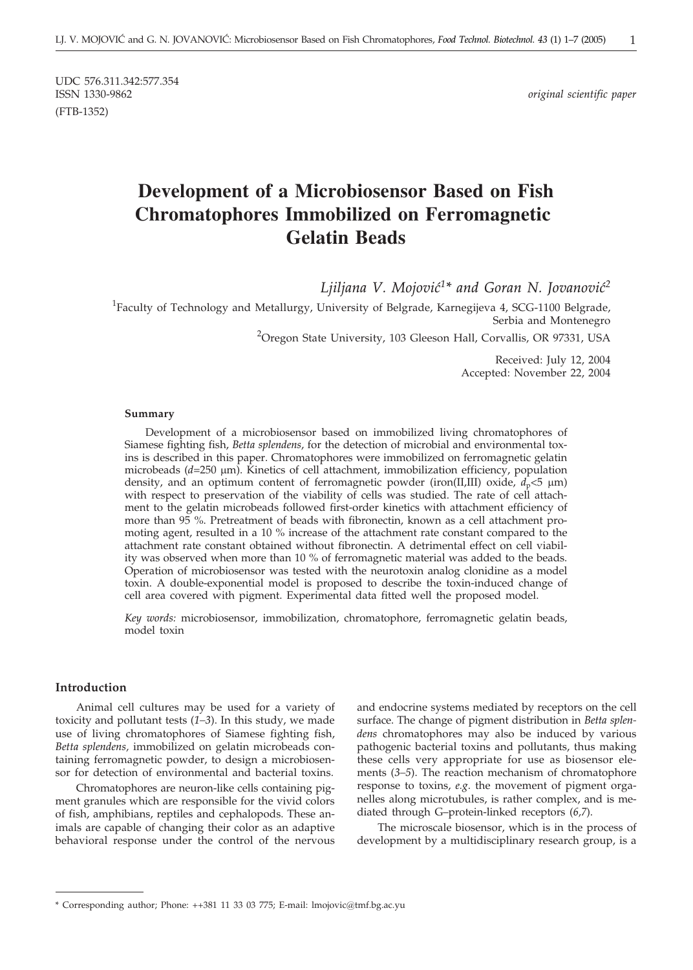UDC 576.311.342:577.354<br>ISSN 1330-9862 (FTB-1352)

 $original$  scientific paper

# **Development of a Microbiosensor Based on Fish Chromatophores Immobilized on Ferromagnetic Gelatin Beads**

Ljiljana V. Mojović<sup>1\*</sup> and Goran N. Jovanović<sup>2</sup>

<sup>1</sup>Faculty of Technology and Metallurgy, University of Belgrade, Karnegijeva 4, SCG-1100 Belgrade, Serbia and Montenegro

<sup>2</sup>Oregon State University, 103 Gleeson Hall, Corvallis, OR 97331, USA

Received: July 12, 2004 Accepted: November 22, 2004

#### **Summary**

Development of a microbiosensor based on immobilized living chromatophores of Siamese fighting fish, *Betta splendens*, for the detection of microbial and environmental toxins is described in this paper. Chromatophores were immobilized on ferromagnetic gelatin microbeads (*d*=250 µm). Kinetics of cell attachment, immobilization efficiency, population density, and an optimum content of ferromagnetic powder (iron(II,III) oxide,  $d_p < 5 \mu$ m) with respect to preservation of the viability of cells was studied. The rate of cell attachment to the gelatin microbeads followed first-order kinetics with attachment efficiency of more than 95 %. Pretreatment of beads with fibronectin, known as a cell attachment promoting agent, resulted in a 10 % increase of the attachment rate constant compared to the attachment rate constant obtained without fibronectin. A detrimental effect on cell viability was observed when more than 10 % of ferromagnetic material was added to the beads. Operation of microbiosensor was tested with the neurotoxin analog clonidine as a model toxin. A double-exponential model is proposed to describe the toxin-induced change of cell area covered with pigment. Experimental data fitted well the proposed model.

*Key words:* microbiosensor, immobilization, chromatophore, ferromagnetic gelatin beads, model toxin

#### **Introduction**

Animal cell cultures may be used for a variety of toxicity and pollutant tests (*1–3*). In this study, we made use of living chromatophores of Siamese fighting fish, *Betta splendens,* immobilized on gelatin microbeads containing ferromagnetic powder, to design a microbiosensor for detection of environmental and bacterial toxins.

Chromatophores are neuron-like cells containing pigment granules which are responsible for the vivid colors of fish, amphibians, reptiles and cephalopods. These animals are capable of changing their color as an adaptive behavioral response under the control of the nervous

and endocrine systems mediated by receptors on the cell surface. The change of pigment distribution in *Betta splendens* chromatophores may also be induced by various pathogenic bacterial toxins and pollutants, thus making these cells very appropriate for use as biosensor elements (*3–5*). The reaction mechanism of chromatophore response to toxins, *e.g*. the movement of pigment organelles along microtubules, is rather complex, and is mediated through G–protein-linked receptors (*6,7*).

The microscale biosensor, which is in the process of development by a multidisciplinary research group, is a

<sup>\*</sup> Corresponding author; Phone: ++381 11 33 03 775; E-mail: lmojovic*@*tmf.bg.ac.yu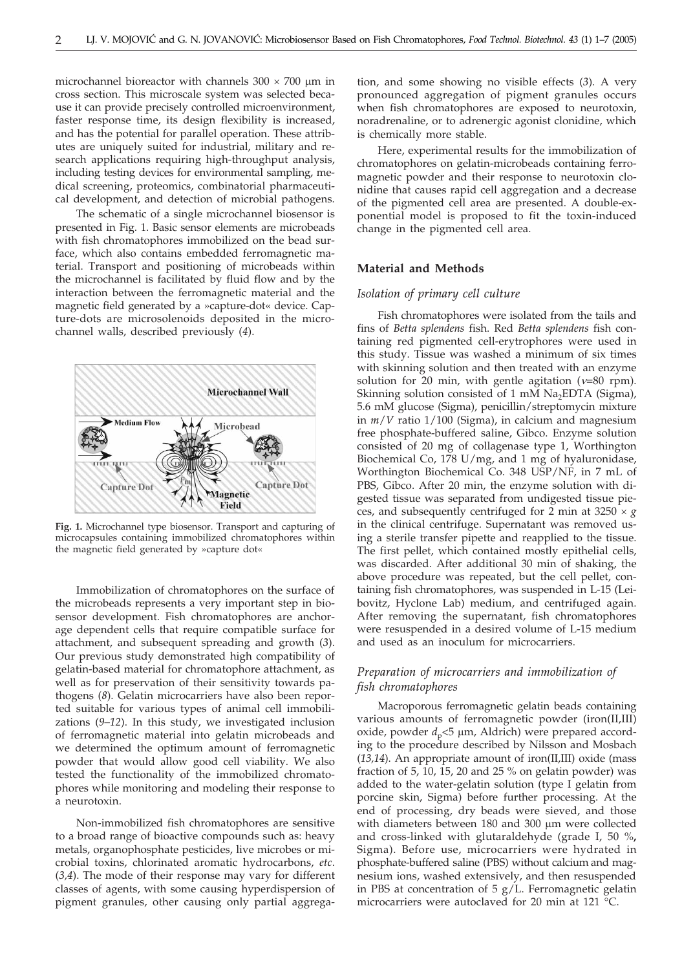microchannel bioreactor with channels  $300 \times 700$  µm in cross section. This microscale system was selected because it can provide precisely controlled microenvironment, faster response time, its design flexibility is increased, and has the potential for parallel operation. These attributes are uniquely suited for industrial, military and research applications requiring high-throughput analysis, including testing devices for environmental sampling, medical screening, proteomics, combinatorial pharmaceutical development, and detection of microbial pathogens.

The schematic of a single microchannel biosensor is presented in Fig. 1. Basic sensor elements are microbeads with fish chromatophores immobilized on the bead surface, which also contains embedded ferromagnetic material. Transport and positioning of microbeads within the microchannel is facilitated by fluid flow and by the interaction between the ferromagnetic material and the magnetic field generated by a »capture-dot« device. Capture-dots are microsolenoids deposited in the microchannel walls, described previously (*4*).



**Fig. 1.** Microchannel type biosensor. Transport and capturing of microcapsules containing immobilized chromatophores within the magnetic field generated by »capture dot«

Immobilization of chromatophores on the surface of the microbeads represents a very important step in biosensor development. Fish chromatophores are anchorage dependent cells that require compatible surface for attachment, and subsequent spreading and growth (*3*). Our previous study demonstrated high compatibility of gelatin-based material for chromatophore attachment, as well as for preservation of their sensitivity towards pathogens (*8*). Gelatin microcarriers have also been reported suitable for various types of animal cell immobilizations (*9–12*). In this study, we investigated inclusion of ferromagnetic material into gelatin microbeads and we determined the optimum amount of ferromagnetic powder that would allow good cell viability. We also tested the functionality of the immobilized chromatophores while monitoring and modeling their response to a neurotoxin.

Non-immobilized fish chromatophores are sensitive to a broad range of bioactive compounds such as: heavy metals, organophosphate pesticides, live microbes or microbial toxins, chlorinated aromatic hydrocarbons, *etc*. (*3,4*). The mode of their response may vary for different classes of agents, with some causing hyperdispersion of pigment granules, other causing only partial aggregation, and some showing no visible effects (*3*). A very pronounced aggregation of pigment granules occurs when fish chromatophores are exposed to neurotoxin, noradrenaline, or to adrenergic agonist clonidine, which is chemically more stable.

Here, experimental results for the immobilization of chromatophores on gelatin-microbeads containing ferromagnetic powder and their response to neurotoxin clonidine that causes rapid cell aggregation and a decrease of the pigmented cell area are presented. A double-exponential model is proposed to fit the toxin-induced change in the pigmented cell area.

#### **Material and Methods**

#### *Isolation of primary cell culture*

Fish chromatophores were isolated from the tails and fins of *Betta splendens* fish. Red *Betta splendens* fish containing red pigmented cell-erytrophores were used in this study. Tissue was washed a minimum of six times with skinning solution and then treated with an enzyme solution for 20 min, with gentle agitation ( $v=80$  rpm). Skinning solution consisted of  $1 \text{ mM }$  Na<sub>2</sub>EDTA (Sigma), 5.6 mM glucose (Sigma), penicillin/streptomycin mixture in *m*/*V* ratio 1/100 (Sigma), in calcium and magnesium free phosphate-buffered saline, Gibco. Enzyme solution consisted of 20 mg of collagenase type 1, Worthington Biochemical Co, 178 U/mg, and 1 mg of hyaluronidase, Worthington Biochemical Co. 348 USP/NF, in 7 mL of PBS, Gibco. After 20 min, the enzyme solution with digested tissue was separated from undigested tissue pieces, and subsequently centrifuged for 2 min at  $3250 \times g$ in the clinical centrifuge. Supernatant was removed using a sterile transfer pipette and reapplied to the tissue. The first pellet, which contained mostly epithelial cells, was discarded. After additional 30 min of shaking, the above procedure was repeated, but the cell pellet, containing fish chromatophores, was suspended in L-15 (Leibovitz, Hyclone Lab) medium, and centrifuged again. After removing the supernatant, fish chromatophores were resuspended in a desired volume of L-15 medium and used as an inoculum for microcarriers.

# *Preparation of microcarriers and immobilization of fish chromatophores*

Macroporous ferromagnetic gelatin beads containing various amounts of ferromagnetic powder (iron(II,III) oxide, powder  $d_p < 5 \mu m$ , Aldrich) were prepared according to the procedure described by Nilsson and Mosbach (*13,14*). An appropriate amount of iron(II,III) oxide (mass fraction of 5, 10, 15, 20 and 25 % on gelatin powder) was added to the water-gelatin solution (type I gelatin from porcine skin, Sigma) before further processing. At the end of processing, dry beads were sieved, and those with diameters between 180 and 300 µm were collected and cross-linked with glutaraldehyde (grade I, 50 %**,** Sigma). Before use, microcarriers were hydrated in phosphate-buffered saline (PBS) without calcium and magnesium ions, washed extensively, and then resuspended in PBS at concentration of  $5 g/L$ . Ferromagnetic gelatin microcarriers were autoclaved for 20 min at 121 °C.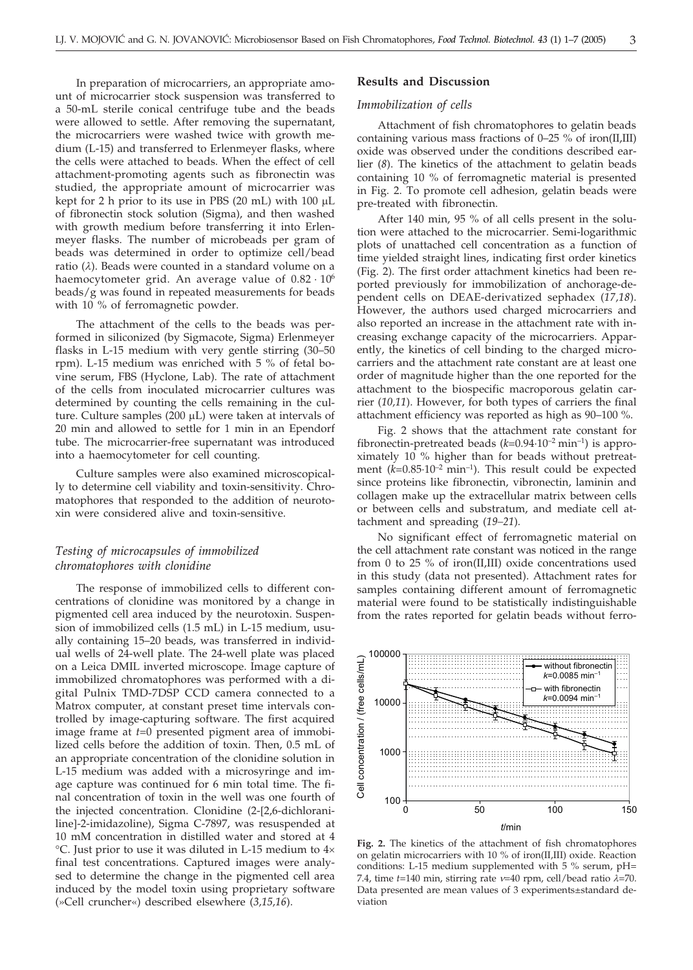In preparation of microcarriers, an appropriate amount of microcarrier stock suspension was transferred to a 50-mL sterile conical centrifuge tube and the beads were allowed to settle. After removing the supernatant, the microcarriers were washed twice with growth medium (L-15) and transferred to Erlenmeyer flasks, where the cells were attached to beads. When the effect of cell attachment-promoting agents such as fibronectin was studied, the appropriate amount of microcarrier was kept for 2 h prior to its use in PBS (20 mL) with  $100 \mu L$ of fibronectin stock solution (Sigma), and then washed with growth medium before transferring it into Erlenmeyer flasks. The number of microbeads per gram of beads was determined in order to optimize cell/bead ratio ( $\lambda$ ). Beads were counted in a standard volume on a haemocytometer grid. An average value of  $0.82 \cdot 10^6$ beads/g was found in repeated measurements for beads with 10 % of ferromagnetic powder.

The attachment of the cells to the beads was performed in siliconized (by Sigmacote, Sigma) Erlenmeyer flasks in L-15 medium with very gentle stirring (30–50 rpm). L-15 medium was enriched with 5 % of fetal bovine serum, FBS (Hyclone, Lab). The rate of attachment of the cells from inoculated microcarrier cultures was determined by counting the cells remaining in the culture. Culture samples  $(200 \mu L)$  were taken at intervals of 20 min and allowed to settle for 1 min in an Ependorf tube. The microcarrier-free supernatant was introduced into a haemocytometer for cell counting.

Culture samples were also examined microscopically to determine cell viability and toxin-sensitivity. Chromatophores that responded to the addition of neurotoxin were considered alive and toxin-sensitive.

# *Testing of microcapsules of immobilized chromatophores with clonidine*

The response of immobilized cells to different concentrations of clonidine was monitored by a change in pigmented cell area induced by the neurotoxin. Suspension of immobilized cells (1.5 mL) in L-15 medium, usually containing 15–20 beads, was transferred in individual wells of 24-well plate. The 24-well plate was placed on a Leica DMIL inverted microscope. Image capture of immobilized chromatophores was performed with a digital Pulnix TMD-7DSP CCD camera connected to a Matrox computer, at constant preset time intervals controlled by image-capturing software. The first acquired image frame at *t*=0 presented pigment area of immobilized cells before the addition of toxin. Then, 0.5 mL of an appropriate concentration of the clonidine solution in L-15 medium was added with a microsyringe and image capture was continued for 6 min total time. The final concentration of toxin in the well was one fourth of the injected concentration. Clonidine (2-[2,6-dichloraniline]-2-imidazoline), Sigma C-7897, was resuspended at 10 mM concentration in distilled water and stored at 4  $\rm{^{\circ}C}$ . Just prior to use it was diluted in L-15 medium to  $4\times$ final test concentrations. Captured images were analysed to determine the change in the pigmented cell area induced by the model toxin using proprietary software (»Cell cruncher«) described elsewhere (*3,15,16*).

# **Results and Discussion**

#### *Immobilization of cells*

Attachment of fish chromatophores to gelatin beads containing various mass fractions of 0–25 % of iron(II,III) oxide was observed under the conditions described earlier (*8*). The kinetics of the attachment to gelatin beads containing 10 % of ferromagnetic material is presented in Fig. 2. To promote cell adhesion, gelatin beads were pre-treated with fibronectin.

After 140 min, 95 % of all cells present in the solution were attached to the microcarrier. Semi-logarithmic plots of unattached cell concentration as a function of time yielded straight lines, indicating first order kinetics (Fig. 2). The first order attachment kinetics had been reported previously for immobilization of anchorage-dependent cells on DEAE-derivatized sephadex (*17,18*). However, the authors used charged microcarriers and also reported an increase in the attachment rate with increasing exchange capacity of the microcarriers. Apparently, the kinetics of cell binding to the charged microcarriers and the attachment rate constant are at least one order of magnitude higher than the one reported for the attachment to the biospecific macroporous gelatin carrier (*10,11*). However, for both types of carriers the final attachment efficiency was reported as high as 90–100 %.

Fig. 2 shows that the attachment rate constant for fibronectin-pretreated beads  $(k=0.94 \cdot 10^{-2} \text{ min}^{-1})$  is approximately 10 % higher than for beads without pretreatment  $(k=0.85 \cdot 10^{-2} \text{ min}^{-1})$ . This result could be expected since proteins like fibronectin, vibronectin, laminin and collagen make up the extracellular matrix between cells or between cells and substratum, and mediate cell attachment and spreading (*19–21*).

No significant effect of ferromagnetic material on the cell attachment rate constant was noticed in the range from 0 to 25 % of iron(II,III) oxide concentrations used in this study (data not presented). Attachment rates for samples containing different amount of ferromagnetic material were found to be statistically indistinguishable from the rates reported for gelatin beads without ferro-



**Fig. 2.** The kinetics of the attachment of fish chromatophores on gelatin microcarriers with 10 % of iron(II,III) oxide. Reaction conditions: L-15 medium supplemented with 5 % serum, pH= 7.4, time  $t=140$  min, stirring rate  $v=40$  rpm, cell/bead ratio  $\lambda=70$ . Data presented are mean values of 3 experiments±standard deviation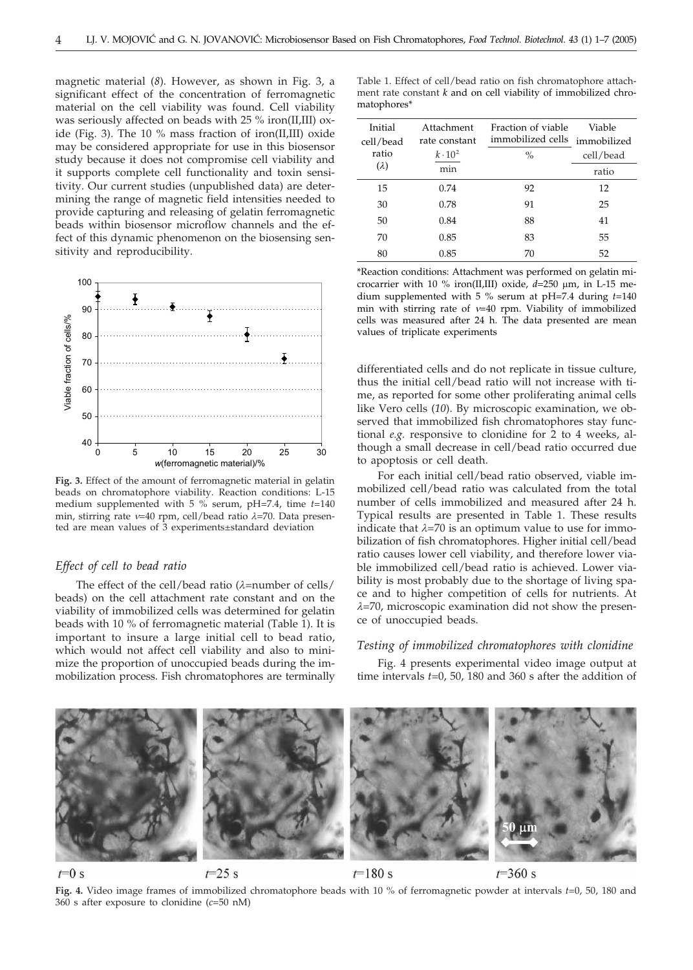magnetic material (*8*). However, as shown in Fig. 3, a significant effect of the concentration of ferromagnetic material on the cell viability was found. Cell viability was seriously affected on beads with 25 % iron(II,III) oxide (Fig. 3). The 10 % mass fraction of iron(II,III) oxide may be considered appropriate for use in this biosensor study because it does not compromise cell viability and it supports complete cell functionality and toxin sensitivity. Our current studies (unpublished data) are determining the range of magnetic field intensities needed to provide capturing and releasing of gelatin ferromagnetic beads within biosensor microflow channels and the effect of this dynamic phenomenon on the biosensing sensitivity and reproducibility.



**Fig. 3.** Effect of the amount of ferromagnetic material in gelatin beads on chromatophore viability. Reaction conditions: L-15 medium supplemented with 5 % serum, pH=7.4, time *t*=140 min, stirring rate v=40 rpm, cell/bead ratio  $\lambda$ =70. Data presented are mean values of 3 experiments±standard deviation

#### *Effect of cell to bead ratio*

The effect of the cell/bead ratio ( $\lambda$ =number of cells/ beads) on the cell attachment rate constant and on the viability of immobilized cells was determined for gelatin beads with 10 % of ferromagnetic material (Table 1). It is important to insure a large initial cell to bead ratio, which would not affect cell viability and also to minimize the proportion of unoccupied beads during the immobilization process. Fish chromatophores are terminally Table 1. Effect of cell/bead ratio on fish chromatophore attachment rate constant *k* and on cell viability of immobilized chromatophores\*

| Initial<br>cell/bead | Attachment<br>rate constant | Fraction of viable<br>immobilized cells | Viable<br>immobilized |
|----------------------|-----------------------------|-----------------------------------------|-----------------------|
| ratio                | $k \cdot 10^2$              | $\%$                                    | cell/bead             |
| $(\lambda)$          | min                         |                                         | ratio                 |
| 15                   | 0.74                        | 92                                      | 12                    |
| 30                   | 0.78                        | 91                                      | 25                    |
| 50                   | 0.84                        | 88                                      | 41                    |
| 70                   | 0.85                        | 83                                      | 55                    |
| 80                   | 0.85                        | 70                                      | 52                    |

\*Reaction conditions: Attachment was performed on gelatin microcarrier with 10 % iron(II,III) oxide,  $d=250$  µm, in L-15 medium supplemented with 5 % serum at pH=7.4 during *t*=140 min with stirring rate of  $v=40$  rpm. Viability of immobilized cells was measured after 24 h. The data presented are mean values of triplicate experiments

differentiated cells and do not replicate in tissue culture, thus the initial cell/bead ratio will not increase with time, as reported for some other proliferating animal cells like Vero cells (*10*). By microscopic examination, we observed that immobilized fish chromatophores stay functional *e.g.* responsive to clonidine for 2 to 4 weeks, although a small decrease in cell/bead ratio occurred due to apoptosis or cell death.

For each initial cell/bead ratio observed, viable immobilized cell/bead ratio was calculated from the total number of cells immobilized and measured after 24 h. Typical results are presented in Table 1. These results indicate that  $\lambda$ =70 is an optimum value to use for immobilization of fish chromatophores. Higher initial cell/bead ratio causes lower cell viability, and therefore lower viable immobilized cell/bead ratio is achieved. Lower viability is most probably due to the shortage of living space and to higher competition of cells for nutrients. At  $\lambda$ =70, microscopic examination did not show the presence of unoccupied beads.

#### *Testing of immobilized chromatophores with clonidine*

Fig. 4 presents experimental video image output at time intervals *t*=0, 50, 180 and 360 s after the addition of



 $t=0$  s

 $t=25$  s

 $t = 180$  s

 $t = 360$  s

**Fig. 4.** Video image frames of immobilized chromatophore beads with 10 % of ferromagnetic powder at intervals *t*=0, 50, 180 and 360 s after exposure to clonidine (*c*=50 nM)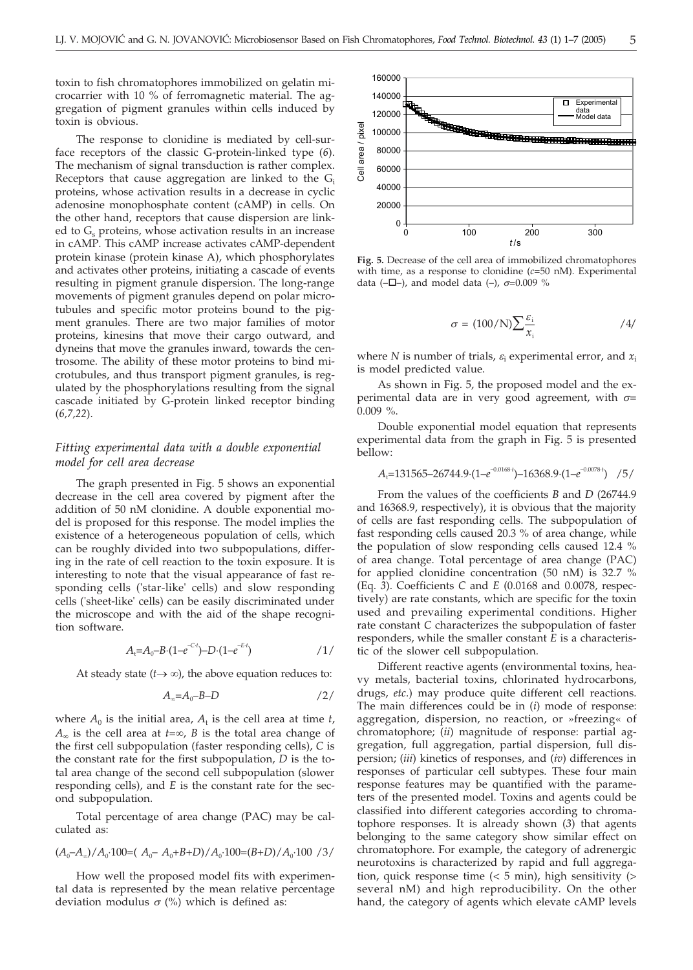toxin to fish chromatophores immobilized on gelatin microcarrier with 10 % of ferromagnetic material. The aggregation of pigment granules within cells induced by toxin is obvious.

The response to clonidine is mediated by cell-surface receptors of the classic G-protein-linked type (*6*). The mechanism of signal transduction is rather complex. Receptors that cause aggregation are linked to the  $G_i$ proteins, whose activation results in a decrease in cyclic adenosine monophosphate content (cAMP) in cells. On the other hand, receptors that cause dispersion are linked to  $G_s$  proteins, whose activation results in an increase in cAMP. This cAMP increase activates cAMP-dependent protein kinase (protein kinase A), which phosphorylates and activates other proteins, initiating a cascade of events resulting in pigment granule dispersion. The long-range movements of pigment granules depend on polar microtubules and specific motor proteins bound to the pigment granules. There are two major families of motor proteins, kinesins that move their cargo outward, and dyneins that move the granules inward, towards the centrosome. The ability of these motor proteins to bind microtubules, and thus transport pigment granules, is regulated by the phosphorylations resulting from the signal cascade initiated by G-protein linked receptor binding (*6,7,22*).

## *Fitting experimental data with a double exponential model for cell area decrease*

The graph presented in Fig. 5 shows an exponential decrease in the cell area covered by pigment after the addition of 50 nM clonidine. A double exponential model is proposed for this response. The model implies the existence of a heterogeneous population of cells, which can be roughly divided into two subpopulations, differing in the rate of cell reaction to the toxin exposure. It is interesting to note that the visual appearance of fast responding cells ('star-like' cells) and slow responding cells ('sheet-like' cells) can be easily discriminated under the microscope and with the aid of the shape recognition software.

$$
A_t = A_0 - B \cdot (1 - e^{-Ct}) - D \cdot (1 - e^{-Et}) \tag{1/}
$$

At steady state  $(t \rightarrow \infty)$ , the above equation reduces to:

$$
A_{\infty} = A_0 - B - D \tag{2}
$$

where  $A_0$  is the initial area,  $A_t$  is the cell area at time *t*,  $A_{\infty}$  is the cell area at  $t=\infty$ , *B* is the total area change of the first cell subpopulation (faster responding cells), *C* is the constant rate for the first subpopulation, *D* is the total area change of the second cell subpopulation (slower responding cells), and *E* is the constant rate for the second subpopulation.

Total percentage of area change (PAC) may be calculated as:

$$
(A_0 - A_\infty)/A_0 \cdot 100 = (A_0 - A_0 + B + D)/A_0 \cdot 100 = (B + D)/A_0 \cdot 100 / 3
$$

How well the proposed model fits with experimental data is represented by the mean relative percentage deviation modulus  $\sigma$  (%) which is defined as:



**Fig. 5.** Decrease of the cell area of immobilized chromatophores with time, as a response to clonidine (*c*=50 nM). Experimental data ( $-\Box$ ), and model data (-),  $\sigma$ =0.009 %

$$
\sigma = (100/N) \sum \frac{\varepsilon_i}{x_i} \tag{4}
$$

where  $N$  is number of trials,  $\varepsilon$ <sub>i</sub> experimental error, and  $x_i$ is model predicted value.

As shown in Fig. 5, the proposed model and the experimental data are in very good agreement, with  $\sigma$ = 0.009 %.

Double exponential model equation that represents experimental data from the graph in Fig. 5 is presented bellow:

$$
A_{t} = 131565 - 26744.9 \cdot (1 - e^{-0.0168 \cdot t}) - 16368.9 \cdot (1 - e^{-0.0078 \cdot t}) \quad /5 /
$$

From the values of the coefficients *B* and *D* (26744.9 and 16368.9, respectively), it is obvious that the majority of cells are fast responding cells. The subpopulation of fast responding cells caused 20.3 % of area change, while the population of slow responding cells caused 12.4 % of area change. Total percentage of area change (PAC) for applied clonidine concentration (50 nM) is 32.7 % (Eq. *3*). Coefficients *C* and *E* (0.0168 and 0.0078, respectively) are rate constants, which are specific for the toxin used and prevailing experimental conditions. Higher rate constant *C* characterizes the subpopulation of faster responders, while the smaller constant *E* is a characteristic of the slower cell subpopulation.

Different reactive agents (environmental toxins, heavy metals, bacterial toxins, chlorinated hydrocarbons, drugs, *etc*.) may produce quite different cell reactions. The main differences could be in (*i*) mode of response: aggregation, dispersion, no reaction, or »freezing« of chromatophore; (*ii*) magnitude of response: partial aggregation, full aggregation, partial dispersion, full dispersion; (*iii*) kinetics of responses, and (*iv*) differences in responses of particular cell subtypes. These four main response features may be quantified with the parameters of the presented model. Toxins and agents could be classified into different categories according to chromatophore responses. It is already shown (*3*) that agents belonging to the same category show similar effect on chromatophore. For example, the category of adrenergic neurotoxins is characterized by rapid and full aggregation, quick response time  $(< 5$  min), high sensitivity  $(>$ several nM) and high reproducibility. On the other hand, the category of agents which elevate cAMP levels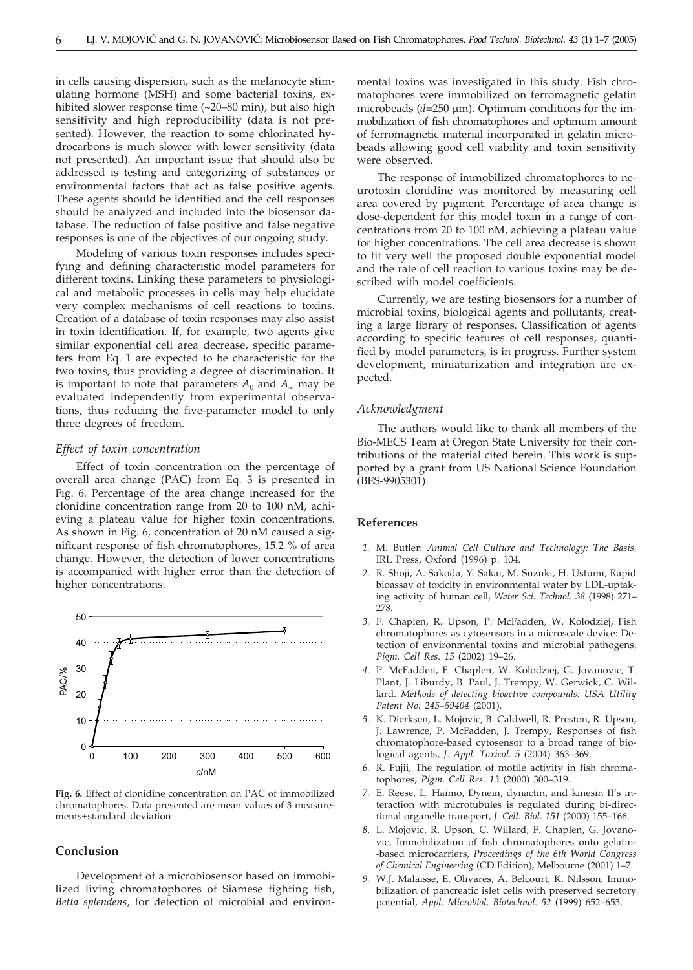in cells causing dispersion, such as the melanocyte stimulating hormone (MSH) and some bacterial toxins, exhibited slower response time ( 20–80 min), but also high sensitivity and high reproducibility (data is not presented). However, the reaction to some chlorinated hydrocarbons is much slower with lower sensitivity (data not presented). An important issue that should also be addressed is testing and categorizing of substances or environmental factors that act as false positive agents. These agents should be identified and the cell responses should be analyzed and included into the biosensor database. The reduction of false positive and false negative responses is one of the objectives of our ongoing study.

Modeling of various toxin responses includes specifying and defining characteristic model parameters for different toxins. Linking these parameters to physiological and metabolic processes in cells may help elucidate very complex mechanisms of cell reactions to toxins. Creation of a database of toxin responses may also assist in toxin identification. If, for example, two agents give similar exponential cell area decrease, specific parameters from Eq. 1 are expected to be characteristic for the two toxins, thus providing a degree of discrimination. It is important to note that parameters  $A_0$  and  $A_\infty$  may be evaluated independently from experimental observations, thus reducing the five-parameter model to only three degrees of freedom.

#### *Effect of toxin concentration*

Effect of toxin concentration on the percentage of overall area change (PAC) from Eq. 3 is presented in Fig. 6. Percentage of the area change increased for the clonidine concentration range from 20 to 100 nM, achieving a plateau value for higher toxin concentrations. As shown in Fig. 6, concentration of 20 nM caused a significant response of fish chromatophores, 15.2 % of area change. However, the detection of lower concentrations is accompanied with higher error than the detection of higher concentrations.



**Fig. 6.** Effect of clonidine concentration on PAC of immobilized chromatophores. Data presented are mean values of 3 measurements±standard deviation

#### **Conclusion**

Development of a microbiosensor based on immobilized living chromatophores of Siamese fighting fish, *Betta splendens*, for detection of microbial and environmental toxins was investigated in this study. Fish chromatophores were immobilized on ferromagnetic gelatin microbeads  $(d=250 \mu m)$ . Optimum conditions for the immobilization of fish chromatophores and optimum amount of ferromagnetic material incorporated in gelatin microbeads allowing good cell viability and toxin sensitivity were observed.

The response of immobilized chromatophores to neurotoxin clonidine was monitored by measuring cell area covered by pigment. Percentage of area change is dose-dependent for this model toxin in a range of concentrations from 20 to 100 nM, achieving a plateau value for higher concentrations. The cell area decrease is shown to fit very well the proposed double exponential model and the rate of cell reaction to various toxins may be described with model coefficients.

Currently, we are testing biosensors for a number of microbial toxins, biological agents and pollutants, creating a large library of responses. Classification of agents according to specific features of cell responses, quantified by model parameters, is in progress. Further system development, miniaturization and integration are expected.

#### *Acknowledgment*

The authors would like to thank all members of the Bio-MECS Team at Oregon State University for their contributions of the material cited herein. This work is supported by a grant from US National Science Foundation (BES-9905301).

#### **References**

- *1.* M. Butler: *Animal Cell Culture and Technology: The Basis,* IRL Press, Oxford (1996) p. 104.
- *2.* R. Shoji, A. Sakoda, Y. Sakai, M. Suzuki, H. Ustumi, Rapid bioassay of toxicity in environmental water by LDL-uptaking activity of human cell, *Water Sci. Technol. 38* (1998) 271– 278.
- *3.* F. Chaplen, R. Upson, P. McFadden, W. Kolodziej, Fish chromatophores as cytosensors in a microscale device: Detection of environmental toxins and microbial pathogens, *Pigm. Cell Res. 15* (2002) 19–26.
- *4.* P. McFadden, F. Chaplen, W. Kolodziej, G. Jovanovic, T. Plant, J. Liburdy, B. Paul, J. Trempy, W. Gerwick, C. Willard. *Methods of detecting bioactive compounds: USA Utility Patent No: 245–59404* (2001).
- *5.* K. Dierksen, L. Mojovic, B. Caldwell, R. Preston, R. Upson, J. Lawrence, P. McFadden, J. Trempy, Responses of fish chromatophore-based cytosensor to a broad range of biological agents, *J. Appl. Toxicol. 5* (2004) 363–369.
- *6.* R. Fujii, The regulation of motile activity in fish chromatophores, *Pigm. Cell Res. 13* (2000) 300–319.
- *7.* E. Reese, L. Haimo, Dynein, dynactin, and kinesin II's interaction with microtubules is regulated during bi-directional organelle transport, *J. Cell. Biol. 151* (2000) 155–166.
- *8.* L. Mojovic, R. Upson, C. Willard, F. Chaplen, G. Jovanovic, Immobilization of fish chromatophores onto gelatin- -based microcarriers, *Proceedings of the 6th World Congress of Chemical Engineering* (CD Edition), Melbourne (2001) 1–7.
- *9.* W.J. Malaisse, E. Olivares, A. Belcourt, K. Nilsson, Immobilization of pancreatic islet cells with preserved secretory potential, *Appl. Microbiol. Biotechnol. 52* (1999) 652–653.